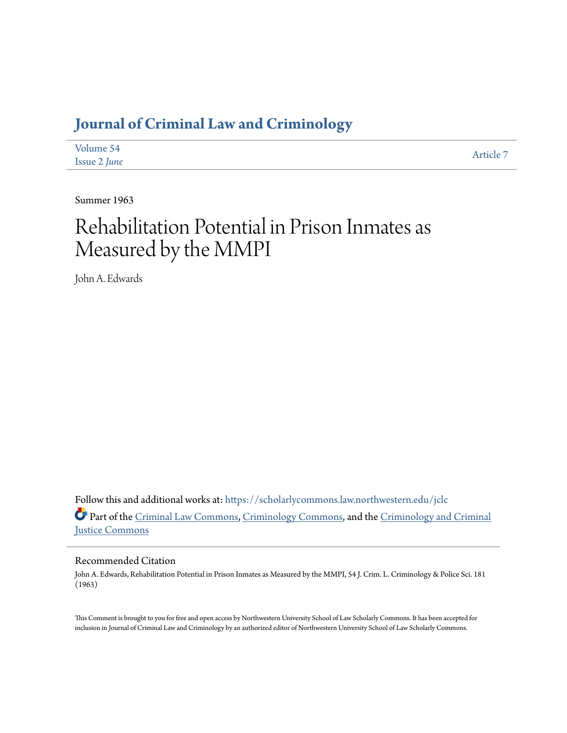## **[Journal of Criminal Law and Criminology](https://scholarlycommons.law.northwestern.edu/jclc?utm_source=scholarlycommons.law.northwestern.edu%2Fjclc%2Fvol54%2Fiss2%2F7&utm_medium=PDF&utm_campaign=PDFCoverPages)**

| Volume 54    | Article 7 |
|--------------|-----------|
| Issue 2 June |           |

Summer 1963

# Rehabilitation Potential in Prison Inmates as Measured by the MMPI

John A. Edwards

Follow this and additional works at: [https://scholarlycommons.law.northwestern.edu/jclc](https://scholarlycommons.law.northwestern.edu/jclc?utm_source=scholarlycommons.law.northwestern.edu%2Fjclc%2Fvol54%2Fiss2%2F7&utm_medium=PDF&utm_campaign=PDFCoverPages) Part of the [Criminal Law Commons](http://network.bepress.com/hgg/discipline/912?utm_source=scholarlycommons.law.northwestern.edu%2Fjclc%2Fvol54%2Fiss2%2F7&utm_medium=PDF&utm_campaign=PDFCoverPages), [Criminology Commons](http://network.bepress.com/hgg/discipline/417?utm_source=scholarlycommons.law.northwestern.edu%2Fjclc%2Fvol54%2Fiss2%2F7&utm_medium=PDF&utm_campaign=PDFCoverPages), and the [Criminology and Criminal](http://network.bepress.com/hgg/discipline/367?utm_source=scholarlycommons.law.northwestern.edu%2Fjclc%2Fvol54%2Fiss2%2F7&utm_medium=PDF&utm_campaign=PDFCoverPages) [Justice Commons](http://network.bepress.com/hgg/discipline/367?utm_source=scholarlycommons.law.northwestern.edu%2Fjclc%2Fvol54%2Fiss2%2F7&utm_medium=PDF&utm_campaign=PDFCoverPages)

### Recommended Citation

John A. Edwards, Rehabilitation Potential in Prison Inmates as Measured by the MMPI, 54 J. Crim. L. Criminology & Police Sci. 181 (1963)

This Comment is brought to you for free and open access by Northwestern University School of Law Scholarly Commons. It has been accepted for inclusion in Journal of Criminal Law and Criminology by an authorized editor of Northwestern University School of Law Scholarly Commons.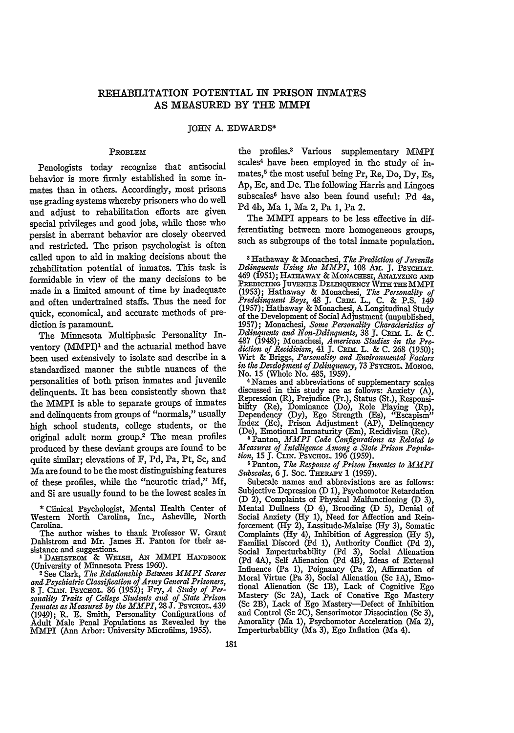#### REHABILITATION POTENTIAL IN PRISON INMATES **AS MEASURED** BY THE MMPI

#### **JOHN A.** EDWARDS\*

#### PROBLEM

Penologists today recognize that antisocial behavior is more firmly established in some inmates than in others. Accordingly, most prisons use grading systems whereby prisoners who do well and adjust to rehabilitation efforts are given special privileges and good jobs, while those who persist in aberrant behavior are closely observed and restricted. The prison psychologist is often called upon to aid in making decisions about the rehabilitation potential of inmates. This task is formidable in view of the many decisions to be made in a limited amount of time by inadequate and often undertrained staffs. Thus the need for quick, economical, and accurate methods of prediction is paramount.

The Minnesota Multiphasic Personality Inventory (MMPI)' and the actuarial method have been used extensively to isolate and describe in a standardized manner the subtle nuances of the personalities of both prison inmates and juvenile delinquents. It has been consistently shown that the MMPI is able to separate groups of inmates and delinquents from groups of "normals," usually high school students, college students, or the original adult norm group.2 The mean profiles produced by these deviant groups are found to be quite similar; elevations of F, Pd, Pa, Pt, Sc, and Ma are found to be the most distinguishing features of these profiles, while the "neurotic triad," Mf, and Si are usually found to be the lowest scales in

\* Clinical Psychologist, Mental Health Center of Western North Carolina, Inc., Asheville, North Carolina.

The author wishes to thank Professor W. Grant Dahlstrom and Mr. James H. Panton for their as-Dahlstrom and Mr. James H. Panton for their as-<br>
sistance and suggestions.<br>
<sup>1</sup> DAHISTROM & WELSH, AN MMPI HANDBOOK<br>(University of Minnesota Press 1960).

2 See Clark, *The Relationship Between MMPI Scores and Psychiatric Classification of Army General Prisoners,* 8 **J.** CrM. PsYcHoL. 86 (1952); Fry, *A Stndy of Per-sonality Traits of College Students ad of State Prison Inmates as Measured by the MMPI,* 28 J. PsYcHoL. 439 (1949); R. E. Smith, Personality Configurations of Adult Male Penal Populations as Revealed by the MMPI (Ann Arbor: University Microfilms, 1955).

the profiles.3 Various supplementary MMPI scales<sup>4</sup> have been employed in the study of inmates,<sup>5</sup> the most useful being Pr, Re, Do, Dy, Es, Ap, Ec, and De. The following Harris and Lingoes subscales' have also been found useful: Pd 4a, Pd 4b, Ma 1, Ma 2, Pa 1, Pa 2.

The MMPI appears to be less effective in differentiating between more homogeneous groups, such as subgroups of the total inmate population.

**3** Hathaway **&** Monachesi, *The Prediction of Juvenile Delinquents Using the MMPI,* 108 Ami. **J.** PsycHiAT. 469 (1951); HATHAWAY & MONACHESI, ANALYZING AND Predicting Juvenile Delinquency With the MMP] **(1953);** Hathaway & Monachesi, *The Personality of Preddinquent Boys,* 48 **J.** CnRi. L., **C.** & **P.S.** 149 (1957); Hathaway & Monachesi, A Longitudinal Study of the Development of Social Adjustment (unpublished, 1957); Monachesi, *Some Personality Characteristics of Delinquents and Non-Delinquents,* **38 J.** Cmss. L. & C. 487 (1948); Monachesi, *American Studies in the Pre-diction of Recidivism,* 41 **J.** Carm. L. & C. 268 (1950); Wirt & Briggs, *Personality and Environmental Factors in the Development of Delinquency, 73 PSYCHOL. MONOG.*<br>No. 15 (Whole No. 485, 1959).

<sup>4</sup> Names and abbreviations of supplementary scales discussed in this study are as follows: Anxiety (A), Repression (R), Prejudice (Pr.), Status (St.), Responsibility (Re), Dominance (Do), Role Playing (Rp), Dependency (Dy), Ego Strength (Es), "Escapism" Index (Ec), Prison Adjustment (AP), Delinquency

(De), Emotional Immaturity (Em), Recidivism (Rc). 5Panton, *MMPI Code Configurations as Related to Measures of Intelligence Among a State Prison Population,* 15 **J.** CIrm. PSYCHOL. 196 (1959).

**6** Panton, *The Response of Prison Inmates to MMPI Subscales, 6 J. Soc. THERAPY 1 (1959)*.

Subscale names and abbreviations are as follows: Subjective Depression (D 1), Psychomotor Retardation (D 2), Complaints of Physical Malfunctioning (D 3), Mental Dullness (D 4), Brooding (D 5), Denial of Social Anxiety **(Hy 1),** Need for Affection and Reinforcement **(Hy** 2), Lassitude-Malaise **(Hy 3),** Somatic Complaints **(Hy** 4), Inhibition of Aggression **(Hy 5),** Familial Discord **(Pd 1),** Authority Conflict **(Pd** 2), Social Imperturbability **(Pd 3),** Social Alienation **(Pd** 4A), Self Alienation **(Pd** 4B), Ideas of External Influence (Pa **1),** Poignancy (Pa 2), Affirmation of Moral Virtue (Pa **3),** Social Alienation (Sc **1A),** Emotional Alienation (Sc 1B), Lack of Cognitive Ego Mastery (Sc **2A),** Lack of Conative Ego Mastery (Sc 2B), Lack of Ego Mastery-Defect of Inhibition and Control (Sc **2C),** Sensorimotor Dissociation (Sc **3),** Amorality (Ma 1), Psychomotor Acceleration (Ma 2), Imperturbability (Ma **3),** Ego Inflation (Ma 4).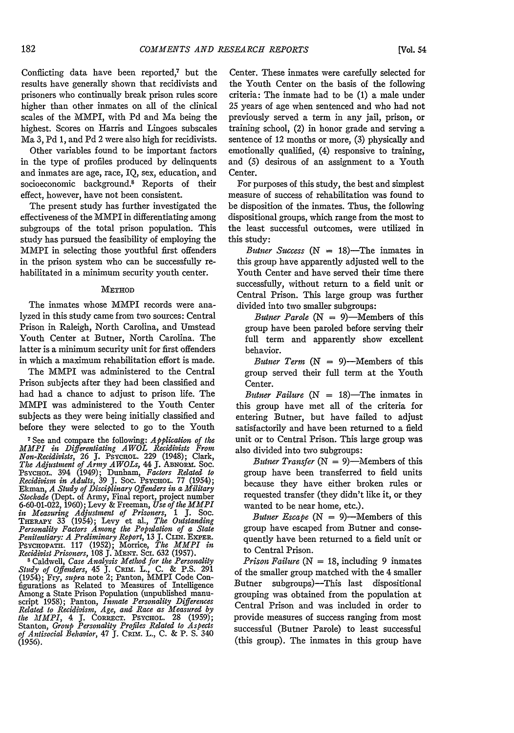Conflicting data have been reported,<sup> $7$ </sup> but the results have generally shown that recidivists and prisoners who continually break prison rules score higher than other inmates on all of the clinical scales of the MMPI, with Pd and Ma being the highest. Scores on Harris and Lingoes subscales Ma 3, Pd 1, and Pd 2 were also high for recidivists.

Other variables found to be important factors in the type of profiles produced by delinquents and inmates are age, race, IQ, sex, education, and socioeconomic background.<sup>8</sup> Reports of their effect, however, have not been consistent.

The present study has further investigated the effectiveness of the MMPI in differentiating among subgroups of the total prison population. This study has pursued the feasibility of employing the MMPI in selecting those youthful first offenders in the prison system who can be successfully rehabilitated in a minimum security youth center.

#### METHOD

The inmates whose MMPI records were analyzed in this study came from two sources: Central Prison in Raleigh, North Carolina, and Umstead Youth Center at Butner, North Carolina. The latter is a minimum security unit for first offenders in which a maximum rehabilitation effort is made.

The MMPI was administered to the Central Prison subjects after they had been classified and had had a chance to adjust to prison life. The MMPI was administered to the Youth Center subjects as they were being initially classified and before they were selected to go to the Youth

7See and compare the following: *Application of the MMI in Differentiating AWOL Recidivists From Non-Recidivists,* **26 J.** PsYcHoL. 229 (1948); Clark, *The Adjustment of Army A WOLs,* 44 **J.** ABNOam. Soc. Psychol. 394 (1949); Dunham, *Factors Related to*<br>*Recidivism in Adults*, 39 J. Soc. Psychol. 77 (1954); Ekman, *A Study of Disciplinary Offenders in a Military Stockade* (Dept. of Army, Final report, project number 6-60-01-022, 1960); Levy & Freeman, *Use of the MMPI in Measuring Adjustment of Prisoners,* 1 **J.** Soc. THRA.PY 33 (1954); Levy et al., *The Outstanding Personality Factors Among the Popdation of a State Penitentiary: A Preliminary Report,* 13 **J.** Clrm. EXPER. PSYCHOPATH. 117 (1952); Morrice, *The MMPI in* 

*Recidivist Prisoners,* 108 **J. MEN.T.** ScI. 632 (1957). **<sup>8</sup>**Caldwell, *Case Analysis Method for the Personality Study of Offenders,* 45 **J.** *CvInr.* L., **C.** & **P.S.** <sup>291</sup> Study of Offenders, 45 J. CRIM. L., C. & P.S. 291<br>(1954); Fry, *supra* note 2; Panton, MMPI Code Con-<br>figurations as Related to Measures of Intelligence figurations as Related to Measures of Intelligence Among a State Prison Population (unpublished manu- script 1958); Panton, *Inmate Personality Differences* Related to Recidivism, Age, and Race as Measured by<br>the MMPI, 4 J. CORRECT. PSYCHOL. 28 (1959);<br>Stanton, Group Personality Profiles Related to Aspects<br>of Antisocial Behavior, 47 J. CRIM. L., C. & P. S. 340 (1956).

Center. These inmates were carefully selected for the Youth Center on the basis of the following criteria: The inmate had to be (1) a male under 25 years of age when sentenced and who had not previously served a term in any jail, prison, or training school, (2) in honor grade and serving a sentence of 12 months or more, (3) physically and emotionally qualified, (4) responsive to training, and (5) desirous of an assignment to a Youth Center.

For purposes of this study, the best and simplest measure of success of rehabilitation was found to be disposition of the inmates. Thus, the following dispositional groups, which range from the most to the least successful outcomes, were utilized in this study:

*Butner Success*  $(N = 18)$ —The inmates in this group have apparently adjusted well to the Youth Center and have served their time there successfully, without return to a field unit or Central Prison. This large group was further divided into two smaller subgroups:

*Butner Parole*  $(N = 9)$ —Members of this group have been paroled before serving their full term and apparently show excellent behavior.

*Butner Term*  $(N = 9)$ —Members of this group served their full term at the Youth Center.

*Butner Failure*  $(N = 18)$ —The inmates in this group have met all of the criteria for entering Butner, but have failed to adjust satisfactorily and have been returned to a field unit or to Central Prison. This large group was also divided into two subgroups:

*Butner Transfer*  $(N = 9)$ —Members of this group have been transferred to field units because they have either broken rules or requested transfer (they didn't like it, or they wanted to be near home, etc.).

*Butner Escape*  $(N = 9)$ —Members of this group have escaped from Butner and consequently have been returned to a field unit or to Central Prison.

*Prison Failure* ( $N = 18$ , including 9 inmates of the smaller group matched with the 4 smaller Butner subgroups)-This last dispositional grouping was obtained from the population at Central Prison and was included in order to provide measures of success ranging from most successful (Butner Parole) to least successful (this group). The inmates in this group have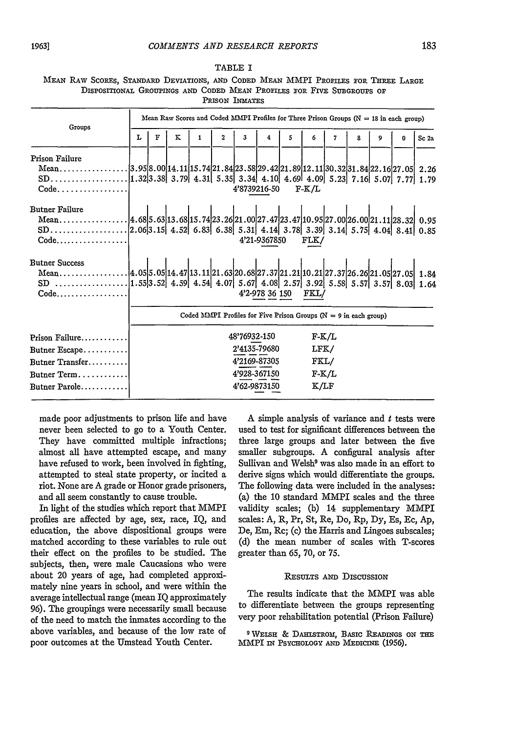|                |  |  | MEAN RAW SCORES, STANDARD DEVIATIONS, AND CODED MEAN MMPI PROFILES FOR THREE LARGE |  |  |  |  |  |  |  |  |
|----------------|--|--|------------------------------------------------------------------------------------|--|--|--|--|--|--|--|--|
|                |  |  | DISPOSITIONAL GROUPINGS AND CODED MEAN PROFILES FOR FIVE SUBGROUPS OF              |  |  |  |  |  |  |  |  |
| PRISON INMATES |  |  |                                                                                    |  |  |  |  |  |  |  |  |

| Groups                                                                                                                                 | Mean Raw Scores and Coded MMPI Profiles for Three Prison Groups ( $N = 18$ in each group) |   |   |                   |  |                                                                                                                                                     |              |  |                                            |   |   |   |  |                  |
|----------------------------------------------------------------------------------------------------------------------------------------|-------------------------------------------------------------------------------------------|---|---|-------------------|--|-----------------------------------------------------------------------------------------------------------------------------------------------------|--------------|--|--------------------------------------------|---|---|---|--|------------------|
|                                                                                                                                        |                                                                                           | F | к | $\mathbf{2}$<br>1 |  | $\mathbf{3}$                                                                                                                                        | 4<br>5       |  | 6                                          | 7 | 8 | 9 |  | Sc <sub>2a</sub> |
| Prison Failure<br>Mean3.95 8.00 14.11 15.74 21.84 23.58 29.42 21.89 12.11 30.32 31.84 22.16 27.05 2.26<br>$Code. \ldots \ldots \ldots$ |                                                                                           |   |   |                   |  | 4'8739216-50                                                                                                                                        |              |  | $F-K/L$                                    |   |   |   |  |                  |
| <b>Butner Failure</b><br>$Code \dots \dots \dots \dots \dots \dots$                                                                    |                                                                                           |   |   |                   |  |                                                                                                                                                     | 4'21-9367850 |  | FLK/                                       |   |   |   |  |                  |
| <b>Butner Success</b><br>$Code \dots \dots \dots \dots$                                                                                |                                                                                           |   |   |                   |  |                                                                                                                                                     |              |  | 4'2-978 36 150 FKL/                        |   |   |   |  |                  |
| Prison Failure<br>Butner Escape<br>Butner Transfer<br>Butner Term<br>Butner Parole                                                     |                                                                                           |   |   |                   |  | Coded MMPI Profiles for Five Prison Groups ( $N = 9$ in each group)<br>48'76932-150<br>2'4135-79680<br>4'2169-87305<br>4'928-367150<br>4'62-9873150 |              |  | $F-K/L$<br>LFK/<br>FKL/<br>$F-K/L$<br>K/LF |   |   |   |  |                  |

made poor adjustments to prison life and have never been selected to go to a Youth Center. They have committed multiple infractions; almost all have attempted escape, and many have refused to work, been involved in fighting, attempted to steal state property, or incited a riot. None are A grade or Honor grade prisoners, and all seem constantly to cause trouble.

In light of the studies which report that MMPI profiles are affected by age, sex, race, IQ, and education, the above dispositional groups were matched according to these variables to rule out their effect on the profiles to be studied. The subjects, then, were male Caucasions who were about 20 years of age, had completed approximately nine years in school, and were within the average intellectual range (mean IQ approximately 96). The groupings were necessarily small because of the need to match the inmates according to the above variables, and because of the low rate of poor outcomes at the Umstead Youth Center.

A simple analysis of variance and  $t$  tests were used to test for significant differences between the three large groups and later between the five smaller subgroups. A configural analysis after Sullivan and Welsh<sup>9</sup> was also made in an effort to derive signs which would differentiate the groups. The following data were included in the analyses: (a) the 10 standard MMPI scales and the three validity scales; (b) 14 supplementary MMPI scales: A, R, Pr, St, Re, Do, Rp, Dy, Es, Ec, **Ap,** De, Em, Rc; (c) the Harris and Lingoes subscales; (d) the mean number of scales with T-scores greater than 65, 70, or **75.**

#### RESULTS AND DIscussIoN

The results indicate that the MMPI was able to differentiate between the groups representing very poor rehabilitation potential (Prison Failure)

<sup>&</sup>lt;sup>9</sup> WELSH & DAHLSTROM, BASIC READINGS ON THE MMPI IN PSYcHoLOGy **AND** MEDICINE (1956).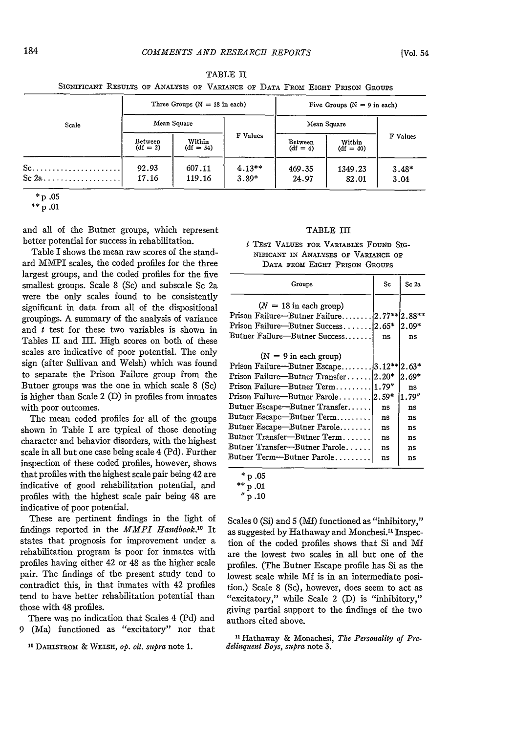|                                |                       | Three Groups $(N = 18$ in each) |                     | Five Groups ( $N = 9$ in each)                 |                  |                 |  |  |  |
|--------------------------------|-----------------------|---------------------------------|---------------------|------------------------------------------------|------------------|-----------------|--|--|--|
| Scale                          |                       | Mean Square                     |                     | Mean Square                                    | F Values         |                 |  |  |  |
|                                | Between<br>$(df = 2)$ | Within<br>$(df = 54)$           | F Values            | Within<br>Between<br>$(df = 4)$<br>$(df = 40)$ |                  |                 |  |  |  |
| $Sc.$<br>$Sc 2a \ldots \ldots$ | 92.93<br>17.16        | 607.11<br>119.16                | $4.13**$<br>$3.89*$ | 469.35<br>24.97                                | 1349.23<br>82.01 | $3.48*$<br>3.04 |  |  |  |

TABLE II SIGNIFICANT RESULTS OF ANALYSIS OF VARIANCE OF DATA FROM EIGHT PRISON GROUPS

**\*p .05**

**\*\*** p .01

and all of the Butner groups, which represent better potential for success in rehabilitation.

Table I shows the mean raw scores of the standard MMPI scales, the coded profiles for the three largest groups, and the coded profiles for the five smallest groups. Scale 8 (Sc) and subscale Sc 2a were the only scales found to be consistently significant in data from all of the dispositional groupings. A summary of the analysis of variance and  $t$  test for these two variables is shown in Tables II and III. High scores on both of these scales are indicative of poor potential. The only sign (after Sullivan and Welsh) which was found to separate the Prison Failure group from the Butner groups was the one in which scale 8 (Sc) is higher than Scale 2 (D) in profiles from inmates with poor outcomes.

The mean coded profiles for all of the groups shown in Table I are typical of those denoting character and behavior disorders, with the highest scale in all but one case being scale 4 (Pd). Further inspection of these coded profiles, however, shows that profiles with the highest scale pair being 42 are indicative of good rehabilitation potential, and profiles with the highest scale pair being 48 are indicative of poor potential.

These are pertinent findings in the light of findings reported in the *MMPI Handbook.'0* It states that prognosis for improvement under a rehabilitation program is poor for inmates with profiles having either 42 or 48 as the higher scale pair. The findings of the present study tend to contradict this, in that inmates with 42 profiles tend to have better rehabilitation potential than those with 48 profiles.

There was no indication that Scales 4 (Pd) and 9 (Ma) functioned as "excitatory" nor that

**10** DAHLSTROM & WELSH, *op. cit. supra* note **1.**

#### TABLE III

**I** TEST VALUES FOR VARIABLES FouND SIG-NIFICANT IN ANALYSES OF VARIANCE OF DATA FROM EIGHT PRISON GROUPS

| Groups                                                                                                                                                                                                                                                                                                          | Sc                         | Sc 2a                                                |
|-----------------------------------------------------------------------------------------------------------------------------------------------------------------------------------------------------------------------------------------------------------------------------------------------------------------|----------------------------|------------------------------------------------------|
| $(N = 18$ in each group)<br>Prison Failure-Butner Failure 2.77** [2.88**<br>Prison Failure—Butner Success 2.65*<br>Butner Failure—Butner Success                                                                                                                                                                | ns                         | $2.09*$<br>ns                                        |
| $(N = 9$ in each group)<br>Prison Failure-Butner Escape 3.12** 2.63*<br>Prison Failure—Butner Transfer 2.20*<br>Prison Failure—Butner Parole 2.59*<br>Butner Escape-Butner Transfer<br>Butner Escape-Butner Term<br>Butner Escape—Butner Parole<br>Butner Transfer-Butner Term<br>Butner Transfer-Butner Parole | ns<br>ns<br>ns<br>ns<br>ns | $2.69*$<br>ns<br>1.79"<br>ns<br>ns<br>ns<br>ns<br>ns |
| Butner Term--Butner Parole                                                                                                                                                                                                                                                                                      | ns                         | ns                                                   |

 $^*$  p .05

Scales 0 (Si) and 5 (Mf) functioned as "inhibitory," as suggested by Hathaway and Monchesi.<sup>11</sup> Inspection of the coded profiles shows that Si and Mf are the lowest two scales in all but one of the profiles. (The Butner Escape profile has Si as the lowest scale while Mf is in an intermediate position.) Scale 8 (Sc), however, does seem to act as "excitatory," while Scale 2 (D) is "inhibitory," giving partial support to the findings of the two authors cited above.

**11** Hathaway & Monachesi, *The Personality of Predelinquent Boys, supra* note 3.

 $*$  p .01

*p* .10